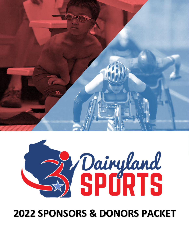



# **SPONSORS & DONORS PACKET**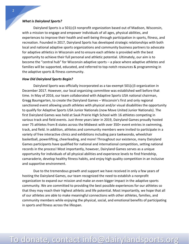### *What is Dairyland Sports?*

Dairyland Sports is a 501(c)3 nonprofit organization based out of Madison, Wisconsin, with a mission to engage and empower individuals of all ages, physical abilities, and experiences to improve their health and well-being through participation in sports, fitness, and recreation. Founded in 2017, Dairyland Sports has developed strategic relationships with both local and national adaptive sports organizations and community business partners to advocate for adaptive athletics in Wisconsin and to ensure each athlete is provided with the best opportunity to achieve their full personal and athletic potential. Ultimately, our aim is to become the "central hub" for Wisconsin adaptive sports – a place where adaptive athletes and families will be supported, educated, and referred to top-notch resources & programming in the adaptive sports & fitness community.

#### *How Did Dairyland Sports Begin?*

Dairyland Sports was officially incorporated as a tax-exempt 501(c)3 organization in December 2017. However, our local organizing committee was established well before that time. In May of 2016, our team collaborated with Adaptive Sports USA national chairman, Gregg Baumgarten, to create the Dairyland Games – Wisconsin's first and only regional sanctioned event allowing youth athletes with physical and/or visual disabilities the opportunity to qualify for Adaptive Sports USA Junior Nationals (now Move United Junior Nationals). The first Dairyland Games was held at Sauk Prairie High School with 16 athletes competing in various track and field events. Just three years later in 2019, Dairyland Games proudly hosted over 75 athletes from 8 states across the Midwest with over 350+ event entries in swimming, track, and field. In addition, athletes and community members were invited to participate in a variety of free interactive clinics and exhibitions including para taekwondo, wheelchair basketball, powerlifting, cheerleading, and more! Throughout our existence, many Dairyland Games participants have qualified for national and international competition, setting national records in the process! Most importantly, however, Dairyland Games serves as a unique opportunity for individuals of all physical abilities and experience levels to find friendship, camaraderie, develop healthy fitness habits, and enjoy high quality competition in an inclusive and supportive environment.

Due to the tremendous growth and support we have received in only a few years of hosting the Dairyland Games, our team recognized the need to establish a nonprofit organization to expand our mission and make an even bigger impact in the adaptive sports community. We are committed to providing the best possible experiences for our athletes so that they may reach their highest athletic and life potential. Most importantly, we hope that all of our athletes are able to make meaningful connections with other athletes, families, and community members while enjoying the physical, social, and emotional benefits of participating in sports and fitness across the lifespan.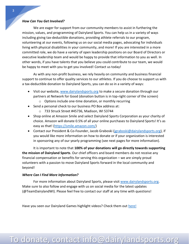#### *How Can You Get Involved?*

We are eager for support from our community members to assist in furthering the mission, values, and programming of Dairyland Sports. You can help us in a variety of ways including giving tax-deductible donations, providing athlete referrals to our program, volunteering at our events, following us on our social media pages, advocating for individuals living with physical disabilities in your community, and more! If you are interested in a more committed role, we do have a variety of open leadership positions on our Board of Directors or executive leadership team and would be happy to provide that information to you as well. In other words, if you have talents that you believe you could contribute to our team, we would be happy to meet with you to get you involved! Contact us today!

As with any non-profit business, we rely heavily on community and business financial support to continue to offer quality services to our athletes. If you do choose to support us with a tax-deductible donation to Dairyland Sports, you can do so in a variety of ways:

- Visit our website, [www.dairylandsports.org](http://www.dairylandsports.org/) to make a secure donation through our partners at Network for Good (donation button is in top-right corner of the screen) o Options include one-time donation, or monthly recurring
- Send a personal check to our business PO Box address at:
	- o 733 Struck Street #45736, Madison, WI 53744
- Shop online at Amazon Smile and select Dairyland Sports Corporation as your charity of choice. Amazon will donate 0.5% of all your online purchases to Dairyland Sports! It's as easy as that! [\(https://smile.amazon.com/\)](https://smile.amazon.com/)
- Contact our President & Co-Founder, Jacob Graboski [\(jgraboski@dairylandsports.org\)](mailto:jgraboski@dairylandsports.org), if you would like more information on how to donate or if your organization is interested in sponsoring any of our yearly programming (see next pages for more information).

It is important to note that **100% of your donations will go directly towards supporting the mission of Dairyland Sports**. Our chief officers and board members do not receive any financial compensation or benefits for serving this organization – we are simply proud volunteers with a passion to move Dairyland Sports forward in the local community and beyond!

### *Where Can I Find More Information?*

For more information about Dairyland Sports, please visit [www.dairylandsports.org.](http://www.dairylandsports.org/) Make sure to also follow and engage with us on social media for the latest updates (@TeamDairylandWI). Please feel free to contact our staff at any time with questions!

Have you seen our Dairyland Games highlight videos? Check them out [here!](https://www.youtube.com/channel/UCpvInDA5t565VUPBnRBy92A)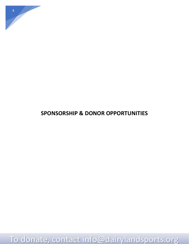

## **SPONSORSHIP & DONOR OPPORTUNITIES**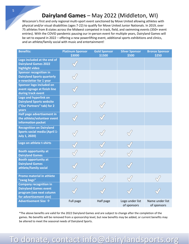## **Dairyland Games** – May 2022 (Middleton, WI)

Wisconsin's first and only regional multi-sport event sanctioned by Move United allowing athletes with physical and/or visual disabilities (ages 7-22) to qualify for Move United Junior Nationals. In 2019, over 75 athletes from 8 states across the Midwest competed in track, field, and swimming events (350+ event entries). With the COVID pandemic pausing our in-person event for multiple years, Dairyland Games will be set to expand in 2022 – offering a new powerlifting event, additional sports exhibitions and clinics, and an athlete/family social with music and entertainment!

| <b>Benefits:</b>                                                                                                     | <b>Platinum Sponsor</b><br>\$3000 | <b>Gold Sponsor</b><br>\$1500 | <b>Silver Sponsor</b><br>\$500 | <b>Bronze Sponsor</b><br>\$250 |
|----------------------------------------------------------------------------------------------------------------------|-----------------------------------|-------------------------------|--------------------------------|--------------------------------|
| Logo included at the end of<br><b>Dairyland Games 2022</b><br>highlight video                                        |                                   |                               |                                |                                |
| <b>Sponsor recognition in</b><br><b>Dairyland Sports quarterly</b><br>e-newsletter for 1 year                        |                                   |                               |                                |                                |
| Sponsor logo included on<br>event signage at finish line<br>during track event                                       |                                   |                               |                                |                                |
| Logo and hyperlink on<br><b>Dairyland Sports website</b><br>("Our Partners" tab) for 2<br>years                      |                                   |                               |                                |                                |
| Half page advertisement in<br>the athlete/volunteer event<br>information packet                                      |                                   |                               |                                |                                |
| <b>Recognition on Dairyland</b><br><b>Sports social media (April 1-</b><br><b>July 1, 2020)</b>                      |                                   |                               |                                |                                |
| Logo on athlete t-shirts                                                                                             |                                   |                               |                                |                                |
| <b>Booth opportunity at</b><br><b>Dairyland Games</b>                                                                |                                   |                               |                                |                                |
| <b>Booth opportunity at</b><br><b>Dairyland Games</b><br>athlete/family social                                       |                                   |                               |                                |                                |
| <b>Promo material in athlete</b><br>"swag bags"                                                                      |                                   |                               |                                |                                |
| <b>Company recognition in</b><br><b>Dairyland Games event</b><br>program (see next column<br>for advertisement size) |                                   |                               |                                |                                |
| Advertisement Size $\rightarrow$                                                                                     | Full page                         | Half page                     | Logo under list<br>of sponsors | Name under list<br>of sponsors |

\*The above benefits are valid for the 2022 Dairyland Games and are subject to change after the completion of the games. No benefits will be removed from a sponsorship level, but new benefits may be added, or current benefits may be altered to meet the seasonal needs of Dairyland Sports.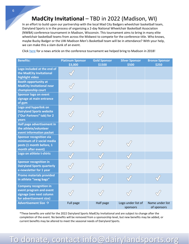In an effort to build upon our partnership with the local Mad City Badgers wheelchair basketball team, Dairyland Sports is in the process of organizing a 2-day National Wheelchair Basketball Association (NWBA) conference tournament in Madison, Wisconsin. This tournament aims to bring in many elite wheelchair basketball teams from across the Midwest to compete for the conference title. Who knows, maybe Bucky Badger or the UW-Madison Men's Basketball team will be in attendance? With your help, we can make this a slam dunk of an event.

Click [here](https://www.nbc15.com/content/news/Madison-hosts-first-ever-wheelchair-basketball-conference-tournament-476466993.html) for a news article on the conference tournament we helped bring to Madison in 2018!

| <b>Benefits:</b>                                                                                                | <b>Platinum Sponsor</b><br>\$3,000 | <b>Gold Sponsor</b><br>\$1500 | <b>Silver Sponsor</b><br>\$500 | <b>Bronze Sponsor</b><br>\$250 |
|-----------------------------------------------------------------------------------------------------------------|------------------------------------|-------------------------------|--------------------------------|--------------------------------|
| Logo included at the end of<br>the MadCity Invitational<br>highlight video                                      |                                    |                               |                                |                                |
| <b>Booth opportunity at</b><br><b>MadCity Invitational near</b><br>championship court                           |                                    |                               |                                |                                |
| <b>Sponsor logo on event</b><br>signage at main entrance<br>of gym                                              |                                    |                               |                                |                                |
| Logo and hyperlink on<br><b>Dairyland Sports website</b><br>("Our Partners" tab) for 2<br>years                 |                                    |                               |                                |                                |
| Half page advertisement in<br>the athlete/volunteer<br>event information packet                                 |                                    |                               |                                |                                |
| <b>Sponsor recognition via</b><br>minimum of 2 social media<br>posts (1 month before, 1<br>month after event)   |                                    |                               |                                |                                |
| Logo on athlete t-shirts                                                                                        |                                    |                               |                                |                                |
| <b>Sponsor recognition in</b><br><b>Dairyland Sports quarterly</b><br>e-newsletter for 1 year                   |                                    |                               |                                |                                |
| <b>Promo materials provided</b><br>in athlete "swag bags"                                                       |                                    |                               |                                |                                |
| <b>Company recognition in</b><br>event program and event<br>signage (see next column<br>for advertisement size) |                                    |                               |                                |                                |
| Advertisement Size $\rightarrow$                                                                                | Full page                          | Half page                     | Logo under list of<br>sponsors | Name under list<br>of sponsors |

\*These benefits are valid for the 2022 Dairyland Sports MadCity Invitational and are subject to change after the completion of the event. No benefits will be removed from a sponsorship level, but new benefits may be added, or current benefits may be altered to meet the seasonal needs of Dairyland Sports.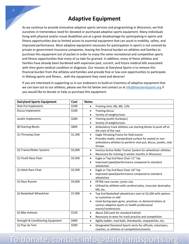## **Adaptive Equipment**

As we continue to provide innovative adaptive sports services and programming in Wisconsin, we find ourselves in tremendous need for donated or purchased adaptive sports equipment. Many individuals living with physical and/or visual disabilities are at a great disadvantage for participating in sports and fitness opportunities due to limited access to essential equipment that can assist in mobility, safety, and improved performance. Most adaptive equipment necessary for participation in sports is not covered by private or government insurance companies, leaving the financial burden on athletes and families to purchase this equipment out of pocket in order to enjoy the same recreational and competitive sports and fitness opportunities that many of us take for granted. In addition, many of these athletes and families have already been burdened with expensive past, current, and future medical bills associated with their given medical condition or diagnosis. Our mission at Dairyland Sports is to remove this financial burden from the athletes and families and provide free or low-cost opportunities to participate in lifelong sports and fitness… with the equipment they need and deserve!

If you are interested in supporting us in our endeavors to build an inventory of adaptive equipment that we can loan out to our athletes, please see the list below and contact us at [info@dairylandsports.org](mailto:info@dairylandsports.org) if you would like to donate or help us purchase this equipment.

| <b>Dairyland Sports Equipment</b> | Cost    | <b>Notes</b>                                                                                                              |
|-----------------------------------|---------|---------------------------------------------------------------------------------------------------------------------------|
| Shot Put Implements               | \$100   | Training shot, 6lb, 8lb, 12lb<br>$\bullet$                                                                                |
| <b>Discus Implements</b>          | \$100   | <b>Training discus</b><br>$\bullet$                                                                                       |
|                                   |         | Variety of weights/sizes<br>$\bullet$                                                                                     |
| Javelin Implements                | \$200   | Training javelin (turbojav)<br>$\bullet$                                                                                  |
|                                   |         | Variety of weights/sizes<br>$\bullet$                                                                                     |
| (8) Starting Blocks               | \$800   | Ambulatory track athletes use starting blocks to push off at<br>$\bullet$<br>the start of the race                        |
| (1) Throwing Chair                | \$1,200 | Eagle Throwing Frame for field events<br>$\bullet$                                                                        |
|                                   |         | Provides stable, standardized surface for seated or non-<br>$\bullet$                                                     |
|                                   |         | ambulatory athletes to perform shot put, discus, javelin, club                                                            |
|                                   |         | throws                                                                                                                    |
| (3) Trainer/Roller Systems        | \$3,000 | Invictus Active Roller Trainer System for wheelchair athletes<br>$\bullet$                                                |
|                                   |         | Necessary for training in winter months in Wisconsin<br>$\bullet$                                                         |
| (1) Youth Race Chair              | \$3,500 | Eagle or Top End Race Chair-11" hip<br>$\bullet$                                                                          |
|                                   |         | Improved speed/performance compared to standard<br>$\bullet$<br>wheelchair                                                |
| (1) Adult Race Chair              | \$3,500 | Eagle or Top End Race Chair-16" hip<br>$\bullet$                                                                          |
|                                   |         | Improved speed/performance compared to standard<br>$\bullet$<br>wheelchair                                                |
|                                   | \$3,000 |                                                                                                                           |
| (1) Race Runner                   |         | PETRA race runner, junior size<br>$\bullet$<br>Utilized by athletes with cerebral palsy, muscular dystrophy,<br>$\bullet$ |
|                                   |         | MS, etc.                                                                                                                  |
| (2) Basketball Wheelchair         | \$7,000 | Top End Basketball wheelchairs start at \$3,200 with options<br>$\bullet$                                                 |
|                                   |         | to customize or add                                                                                                       |
|                                   |         | Used during open gyms, practices, or demonstrations at<br>$\bullet$                                                       |
|                                   |         | various adaptive sports or health professional                                                                            |
|                                   |         | events/conferences                                                                                                        |
| (5) Bike Helmets                  | \$150   | About \$30 each for standard helmet<br>$\bullet$                                                                          |
|                                   |         | Necessary to wear for track practice and competition<br>$\bullet$                                                         |
| Strength & Conditioning Equipment | \$400   | Agility ladder, med balls, therabands, stopwatches, etc.<br>$\bullet$                                                     |
| (1) Pop Up Tent                   | \$500   | Designated Dairyland Sports tents for officials, volunteers,<br>$\bullet$                                                 |
|                                   |         | coaches, or athletes at competitions/events                                                                               |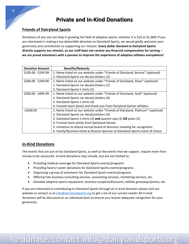## **Private and In-Kind Donations**

### **Friends of Dairyland Sports**

Donations of any size can help in growing the field of adaptive sports, whether it is \$10 or \$1,000! If you are interested in making a tax-deductible donation to Dairyland Sports, we would gladly welcome your generosity and contribution to supporting our mission. **Every dollar donated to Dairyland Sports directly supports our mission, as our staff does not receive any financial compensation for serving – we are proud volunteers with a passion to improve the experience of adaptive athletes everywhere!** 

| <b>Donation Amount</b> | <b>Benefits/Rewards</b>                                                         |
|------------------------|---------------------------------------------------------------------------------|
| \$100.00 - \$199.99    | 1. Name listed on our website under "Friends of Dairyland, Bronze" (optional)   |
|                        | 2. Dairyland Sports car decals/stickers (2)                                     |
| \$200.00 - \$299.00    | 1. Name listed on our website under "Friends of Dairyland, Silver" (optional)   |
|                        | 2. Dairyland Sports car decals/stickers (2)                                     |
|                        | 3. Dairyland Sports t-shirts (2)                                                |
| \$300.00 - \$499.99    | 1. Name listed on our website under "Friends of Dairyland, Gold" (optional)     |
|                        | 2. Dairyland Sports car decals/stickers (4)                                     |
|                        | 3. Dairyland Sports t-shirts (4)                                                |
|                        | 4. Framed team photo and thank-you from Dairyland Games athletes                |
| >\$500.00              | 1. Name listed on our website under "Friends of Dairyland, Platinum" (optional) |
|                        | 2. Dairyland Sports car decals/stickers (4)                                     |
|                        | 3. Dairyland Sports t-shirts (2) and quarter-zips (2) OR polos (2)              |
|                        | 4. Framed team photo from Dairyland Games                                       |
|                        | 5. Invitation to attend annual board of directors meeting for recognition       |
|                        | 6. Family/Business listed as Bronze Sponsor at Dairyland Sports event of choice |

### **In-Kind Donations**

The events that are put on by Dairyland Sports, as well as the events that we support, require more than money to be successful. In-kind donations may include, but are not limited to:

- Providing medical coverage for Dairyland Sports events/programs
- Providing food or water donations for Dairyland Sports events/programs
- Organizing a group of volunteers for Dairyland Sports events/programs
- Offering free business consulting services, accounting services, marketing services, etc.
- Donated adaptive sports equipment, business coupons/discounts, athlete giveaways/prizes, etc.

If you are interested in contributing to Dairyland Sports through an in-kind donation please visit our website or contact us a[t info@dairylandsports.org](mailto:info@dairylandsports.org) to get a list of our current needs! All in-kind donations will be discussed on an individual basis to ensure you receive adequate recognition for your generosity.